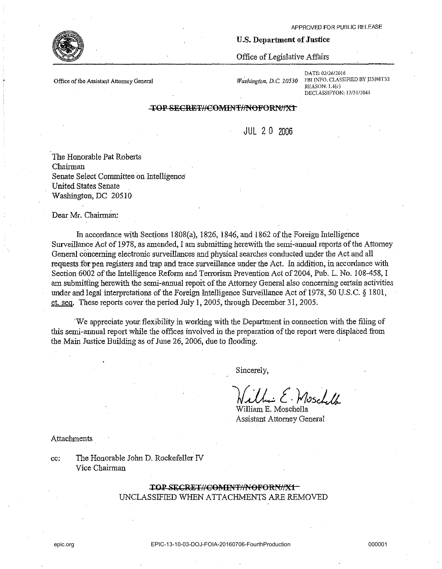#### **Office of the Assistant Attorney General**

*Washington, D.C. 20530* 

**U.s. Department of Justice** 

Office of Legislative Affairs

**DATE:** 02/26/2016 **FBI INFO. CLASSIFIED BY J23J98T32 REASON: l.4(c) DECLASSIFYON: 12/31/2041** 

## TOP SECRET//COMINT//NOFORN//X1

JUL 2 0 2006

The Honorable Pat Roberts Chairman Senate Select Committee on Intelligence United States Senate Washington, DC 20510

Dear Mr. Chairman:

In accordance with Sections 1808(a), 1826, 1846, and 1862 of the Foreign Intelligence Surveillance Act of 1978, as amended, I am submitting herewith the semi-annual reports of the Attorney General concerning electronic surveillances and physical searches conducted under the Act and all requests for pen registers and trap and trace surveillance under the Act. In addition, in accordance with Section 6002 of the Intelligence Reform and Terrorism Prevention Act of 2004, Pub. L. No. 108-458, I am submitting herewith the semi-annual report of the Attorney General also concerning certain activities under and legal interpretations of the Foreign Intelligence Surveillance Act of 1978, 50 U.S.C. § 1801, et. seq. These reports cover'the period July 1, 2005, through December 31, 2005.

'We appreciate your, flexibility in working with the Department in connection with the filing of this semi-annual report while the offices involved in the preparation of the report were displaced from the Main Justice Building as of June 26, 2006; due to flooding.

Sincerely,

*Jf.JL* **t. f;?<JscLa** 

William E. Moschella Assistant Attorney General

Attachments

cc: The Honorable John D. Rockefeller IV Vice Chairman

> TOP SECRET//COMINT//NOFORN//X1-UNCLASSIFIED WHEN ATTACHMENTS ARE REMOVED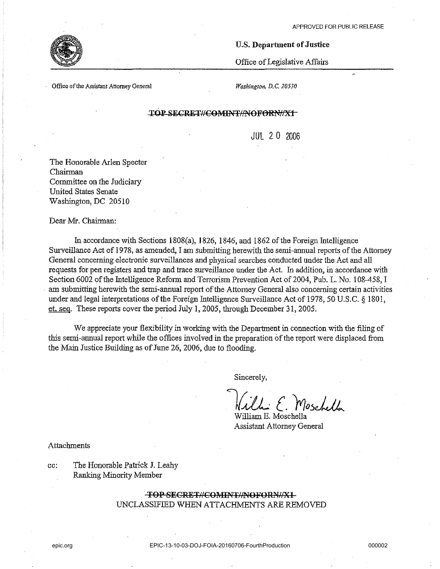

### **U.S. Department of Justice**

Office of Legislative Affairs

**Office of the Assistant Attorney General** 

*Washington, D.C. 20530* 

# TOP SECRET//COMTNT//NOFORN//X1

JUL 20 2006

The Honorable Arlen Specter Chairman Committee on the Judiciary United States Senate Washington, DC 20510

Dear Nfr. Chairman:

In accordance with Sections 1808(a), 1826, 1846, and 1862 of the Foreign Intelligence Surveillance Act of 1978, as amended, I am submitting herewith the semi-annual reports of the Attorney General concerning electronic surveillances and physical searches conducted under the Act and all requests for pen registers and trap and trace surveillance under the Act. In addition, in accordance with Section 6002 of the Intelligence Reform and Terrorism Prevention Act of 2004, Pub. L. No. 108-458, I am submitting herewith the semi-annual report of the Attorney General also concerning certain activities under and legal interpretations of the Foreign Intelligence Surveillance Act of 1978,50 U.S.C. § 1801, et. seq. These reports cover the period July 1, 2005, through December 31, 2005.

We appreciate your flexibility in working with the Department in connection with the filing of this semi-annual report while the offices involved in the preparation of the report were displaced from the Main Justice Building as of June 26, 2006, due to flooding.

Sincerely,

*Kille: E. Moschella* 

Assistant Attorney General

Attachments

cc: The Honorable Patrick J. Leahy Ranlcing Minority Member

# TOP SECRET#COMINT#NOFORN#X1 UNCLASSIFIED WHEN ATTACHMENTS ARE REMOVED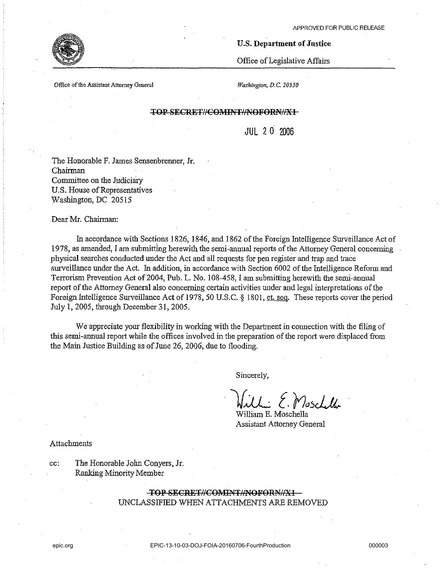# U.S. Department of Justice

Office of Legislative Affairs

**Office** of the **Assistant Attorney General** 

*Washington, D.C. 20530* 

# TOP SECRET//COMINT//NOFORN//X1

JUL 2 0 2006

The Honorable F. James Sensenbrenner, Jr. Chairman Committee on the Judiciary U.S. House of Representatives Washington, DC 20515

Dear Mr. Chairman:

In accordance with Sections 1826, 1846, and 1862 of the Foreign Intelligence Surveillance Act of 1978, as amended, I am submitting herewith the semi-annual reports of the Attorney General concerning physical searches conducted under the Act and all requests for pen register and trap and trace surveillance under the Act. In addition, in accordance with Section 6002 of the Intelligence Reform and Terrorism Prevention Act of 2004, Pub. L. No. 108-458, I am submitting herewith the semi-annual report of the Attorney General also concerning certain activities under and legal interpretations of the Foreign Intelligence Surveillance Act of 1978, 50 U.S.C. § 1801, et. seg. These reports cover the period July 1, 2005, through December 31, 2005.

We appreciate your flexibility in working with the Department in connection with the filing of this semi-annual report while the offices involved in the preparation of the report were displaced from the Main Justice Building as of June 26, 2006, due to flooding.

Sincerely,

lj.J.L [. *f?d5JJi.,.* 

William E. Moschella Assistant Attorney General

Attachments

cc: The Honorable John Conyers, Jr. Ranking Minority Member

# TOP SECRET//COMINT//NOFORN//X1-UNCLASSIFIED WHEN ATTACHMENTS ARE REMOVED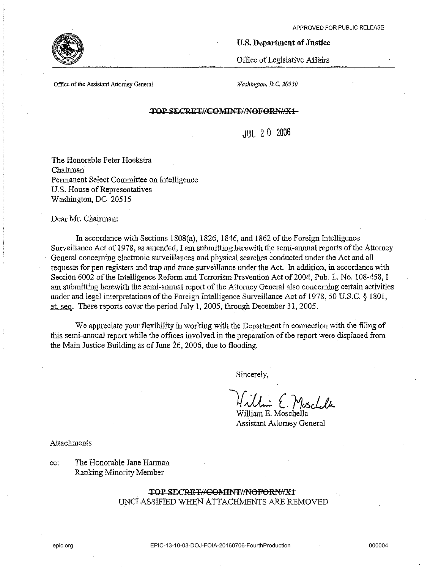

### **U.S. Department of Justice**

Office of Legislative Affairs

**Office** of the **Assistant Attorney General** *Washington, D,C. 20530* 

## **TOP SECRET//COMINT//NOFORN//X1**

JUL 20 2006

The Honorable Peter Hoekstra Chairman Permanent Select Committee on Intelligence U,S. House of Representatives Washington, DC 20515

Dear Mr. Chairman:

In accordance with Sections IS08(a), 1826, 1846, and 1862 of the Foreign Intelligence Surveillance Act of 1978, as amended, I am submitting herewith the semi-armual reports of the Attorney General concerning electronic surveillances and physical searches conducted uoder the Act and all requests for pen registers and trap and trace surveillance uoder the Act. In addition, in accordance with Section 6002 of the Intelligence Reform and Terrorism Prevention Act of 2004, Pub, L. No. 108-458, I am SUbmitting herewith the semi-annual report of the Attorney General also concerning certain activities under and legal interpretations of the Foreign Intelligence Surveillance Act of 1978, 50 U.S.C. § 1801, et. seq. These reports cover the period July 1, 2005, through December 31, 2005,

We appreciate your flexibility in working with the Department in connection with the filing of this semi-annual report while the offices involved in the preparation of the report were displaced from the Main Justice Building as of June 26, 2006, due to flooding.

Sincerely,

William E. Moschella

Assistant Attorney General

Attachments

cc: The Honorable Jane Hannan Ranking Minority Member

> TOP SECRET//COMINT//NOFORN//X1 UNCLASSIFIED WHEN ATTACHMENTS ARE REMOVED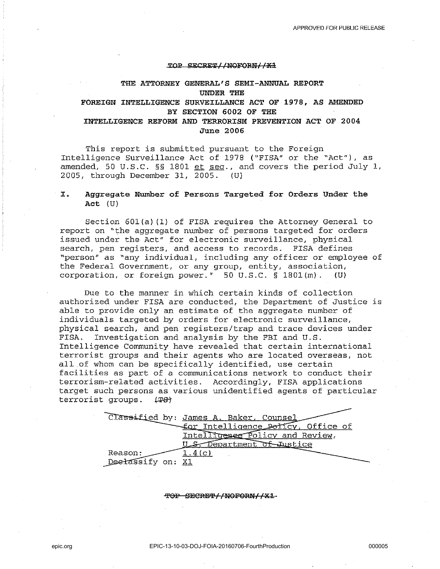#### **'IJOl? SECRE'l'lINQFOM/ /Xl**

# **THE ATTORNEY GENERAL'S SEMI-ANNUAL REPORT UNDER THE FOREIGN INTELLIGENCE SURVEILLANCE ACT OF 1978, AS AMENDED BY SECTION 6002 OF THE INTELLIGENCE REFORM AND TERRORISM PREVENTION ACT OF 2004 June 2006**

This report is submitted pursuant to the Foreign Intelligence Surveillance Act of 1978 ("FISA" or the "Act"), as amended, 50 U.S.C. §§ 1801 et seq., and covers the period July 1, 2005, through December 31, 2005. (U)

# **I. Aggregate Number of Persons Targeted for Orders Under the Act** (U)

Section 60l(a) (1) of FISA requires the Attorney General to report on "the aggregate number of persons targeted for orders issued under the Act" for electronic surveillance, physical search, pen registers, and access to records. FISA defines "person" as "any individual, including any officer or employee of the Federal Government, or any group, entity, association, corporation, or foreign power." 50 U.S.C. § l80l(m). (U)

Due to the manner in which certain kinds of collection authorized under FISA are conducted, the Department of Justice is able to provide only an estimate of the aggregate number of individuals targeted by orders for electronic surveillance, physical search, and pen registers/trap and trace devices under<br>FISA. Investigation and analysis by the FBI and U.S. Investigation and analysis by the FBI and U.S. Intelligence Community have revealed that certain international terrorist groups and their agents who are located overseas, not all.of whom can be specifically identified, use certain facilities as part of a communications network to conduct their terrorism-related activities. Accordingly, FISA applications target such persons as various unidentified agents of particular terrorist groups. (T8)

| Classified by: James A. Baker, Counsel |
|----------------------------------------|
| for Intelligence Policy, Office of     |
| Intelligenee Policy and Review,        |
| Department of Justice                  |
| Reason:                                |
| Deelassify on: X1                      |

#### **'i'OF SElCRE'i'//nOFORN//Xl.**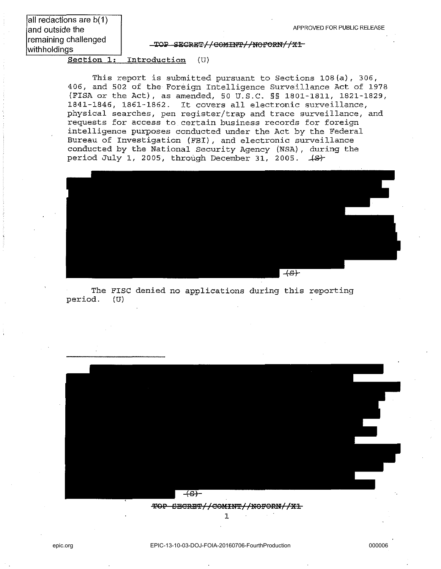all redactions are b(1) and outside the remaining challenged with holdings

TOP SECRET//COMINT//NOFORN//X1

Section **1:** Introduction (U)

This report is submitted pursuant to Sections 108(a), 306, 406, and 502 of the Foreign Intelligence Surveillance Act of 1978 (FISA or the Act), as amended, 50 U.S.C. §§ 1801-1811, 1821-1829, 1841-1846, 1861-1862. It covers all electronic surveillance, physical searches, pen register/trap and trace surveillance, and requests for access to certain business records for foreign intelligence purposes conducted under the Act by the Federal Bureau of Investigation (FBI), and electronic surveillance conducted by the National Security Agency (NSA) , during the period July 1, 2005, through December 31, 2005.  $\{S\}$ 



The FISC denied no applications during this reporting period. (U)

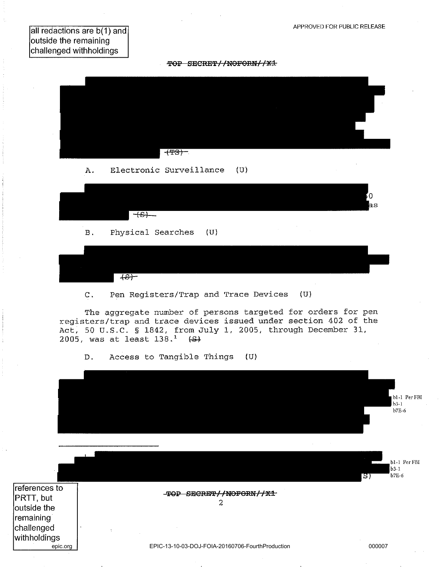all redactions are b(1) and outside the remaining challenged with holdings

TOP SECRET//NOFORN//X1



D. Access to Tangible Things (U)

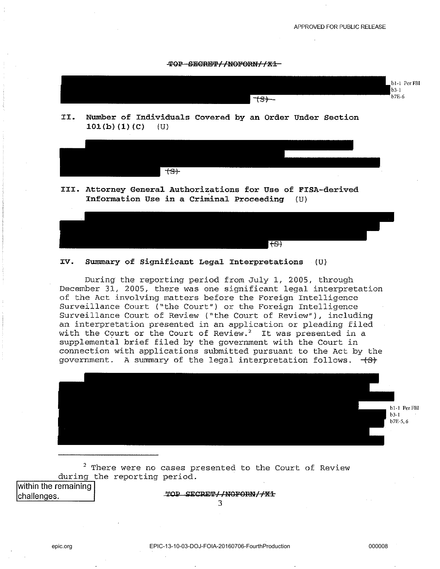



**II. Number of Individuals Covered by an Order Under Section**   $101(b)(1)(c)$  (U)



**III. Attorney General Authorizations for Use of FISA-derived Information Use in a Criminal Proceeding (U)** 



#### **IV. Summary of Significant Legal Interpretations** (U)

During the reporting period from July 1, 2005, through December 31, 2005, there was one significant legal interpretation of the Act involving matters before the Foreign Intelligence Surveillance Court ("the Court") or the Foreign Intelligence Surveillance Court of Review ("the Court of Review"), including an interpretation presented in an application or pleading filed with the Court or the Court of Review. $2$  It was presented in a supplemental brief filed by the government with the Court in connection with applications submitted pursuant to the Act by the government. A summary of the legal interpretation follows.  $\leftarrow$   $\leftarrow$ 



 $2$  There were no cases presented to the Court of Review during the reporting period.

**within the remaining** 

**challenges.**  $\begin{bmatrix} 1 & 0 \\ 0 & 1 \end{bmatrix}$  **TOP SECRET//NOFORN//X1**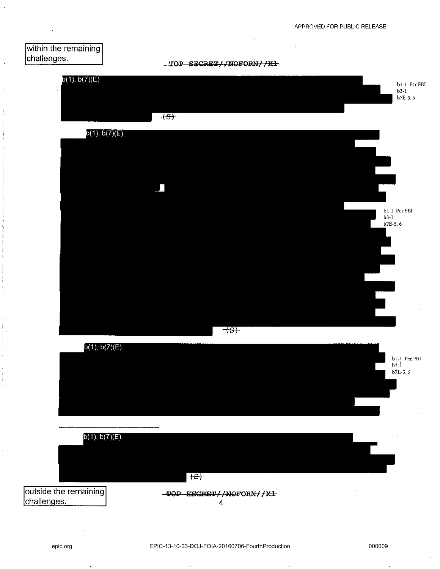





4

challenges.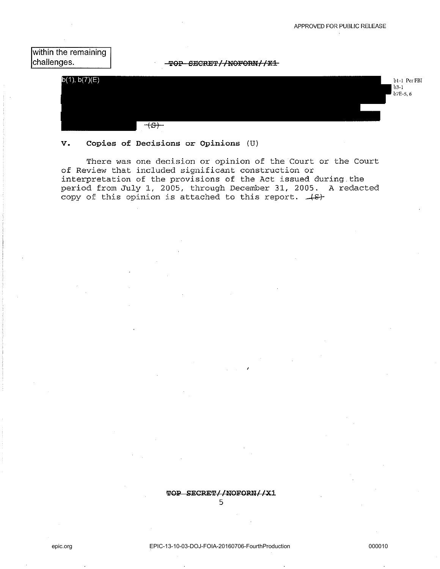**bl-l** Per FBI b3-1 **b7E-S,6** 





# **v. Copies of Decisions or Opinions** (U)

 $\overline{+S}$ 

There was one decision or opinion of the Court or the Court of Review that included significant construction or interpretation of the provisions of the Act issued during the period from July 1, 2005, through December 31, 2005. A redacted copy of this opinion is attached to this report.  $+8$ 

# **TOP SECRET/INOFORNI/Xl**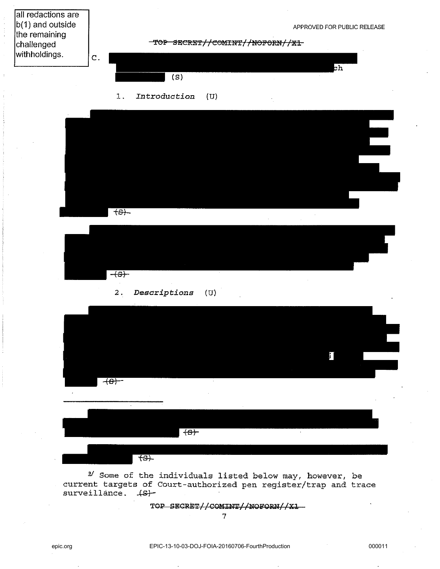

**TOP SECRET//COMlm'//NOFORN//Xl**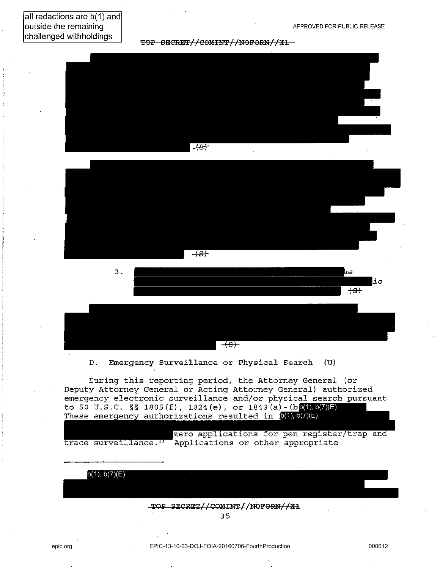# all redactions are b(1) and outside the remaining challenged withholdings

TOP SECRET//COMINT//NOFORN//X1







D. Emergency Surveillance or Physical Search (U)

During this reporting period, the Attorney General (or Deputy Attorney General or Acting Attorney General) authorized emergency electronic surveillance and/or physical search pursuant to 50 U.S.C. §§ 1805(f), 1824(e), or 1843(a)-(b**b(4),b(7)(E)** These emergency authorizations resulted in  $\mathbf{b}(1)$ ,  $\mathbf{b}(1)$ ,  $\mathbf{b}(1)$ ,  $\mathbf{b}(2)$ 

zero applications for pen register/trap and trace surveillance.<sup>13</sup> Applications or other appropriate

 $b(1), b(7)(E)$ **'r01i'** SECRET//COIUN'I'//NOFOaN//Xl 35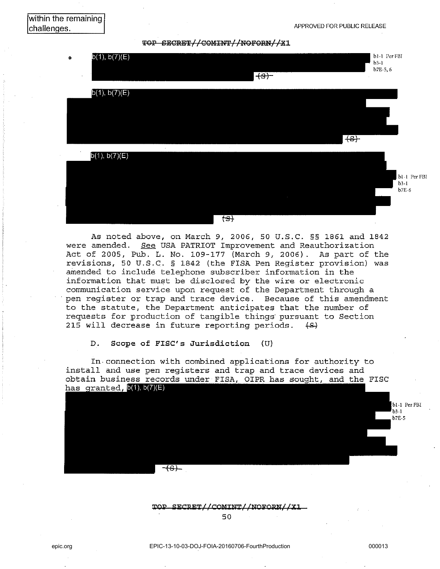TOP SECRET//COMINT//NOFORN//X1



As noted above, on March 9, 2006, 50 U.S.C. §§ 1861 and 1842 were amended. See USA PATRIOT Improvement and Reauthorization Act of 2005, Pub. L. No. 109-177 (March 9, 2006). As part of the revisions, 50 U.S.C. § 1842 (the FISA Pen Register provision) was amended to include telephone subscriber information in the information that must be disclosed by the wire or electronic communication service upon request of the Department through a . pen register or trap and trace device. Because of this amendment to the statute, the Department anticipates that the number of requests for production of tangible things pursuant to Section<br>215 will decrease in future reporting periods. (<del>S</del>) 215 will decrease in future reporting periods. ~

D. Scope of FISC's Jurisdiction (U)

In· connection with combined applications for authority to install and use pen registers and trap and trace devices and obtain business records under FISA, OIPR has sought, and the FISC has granted,  $b(1)$ ,  $b(7)(E)$ 

<del>-(s) -</del>

TOP SECRET//COMINT//NOFORN//X1

50

b1-1 Per FBI  $3.1$ **b7E-5**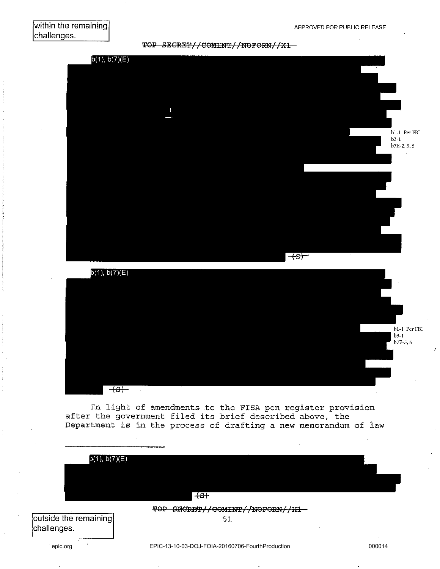TOP SECRET//COMINT//NOFORN//X1





In light of amendments to the FISA pen register provision after the government filed its brief described above, the Department is in the process of drafting a new memorandum of law

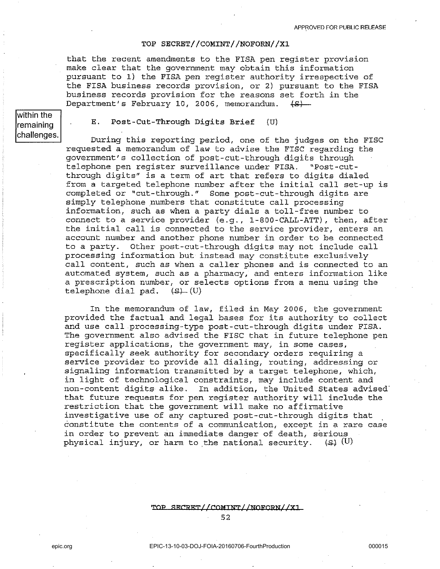### TOP SECRET//COMINT//NOFORN//X1

that the recent amendments to the FISA pen register provision make clear that the government may obtain this information pursuant to 1) the FISA pen register authority irrespective of the FISA business records provision, or 2) pursuant to the FISA business records provision for the reasons set forth in the Department's February 10, 2006, memorandum.  $\{S\}$ 

 $\overline{\text{within the}}$ remaining challenges.

E. Post-Cut-Through Digits Brief (U)

During this reporting period, one of the judges on the FISC requested a memorandum of law to advise the FISC regarding the government's collection of post-cut-through digits through telephone pen register surveillance under FISA. "Post-cutthrough digits" is a term of art that refers to digits dialed from a targeted telephone number after the initial call set-up is completed or "cut-through." Some post-cut-through digits are simply telephone numbers that constitute call processing information, such as when a party dials a toll-free number to connect to a service provider (e.g., 1-800-CALL-ATT), then, after the initial call is connected to the service provider, enters an account number and another phone number in order to be connected to a party. Other post-cut-through digits may not include call processing information but instead may constitute exclusively call content, such as when a caller phones and is connected to an automated system, such as a pharmacy, and enters information like a prescription number, or selects options from a menu using the telephone dial pad.  $(9)$   $(U)$ 

In the memorandum of law, filed in May 2006, the government provided the factual and legal bases for its authority to collect and use call processing-type post-cut-through digits under FISA. The government also advised the FISC that in future telephone pen register applications, the government may, in some cases, specifically seek authority for secondary orders requiring a service provider to provide all dialing, routing, addressing or signaling information transmitted by a target telephone, which, in light of technological constraints, may include content and non-content digits alike. In addition, the United States advised' that future requests for pen register authority will include the restriction that the government will make no affirmative investigative use of any captured post-cut-through digits that constitute the contents of a communication, except in a rare case in order to prevent an immediate danger of death, serious physical injury, or harm to the national security.  $(3)$  (U)

### TOP SECRET//COMTNT//NOFORN//X1